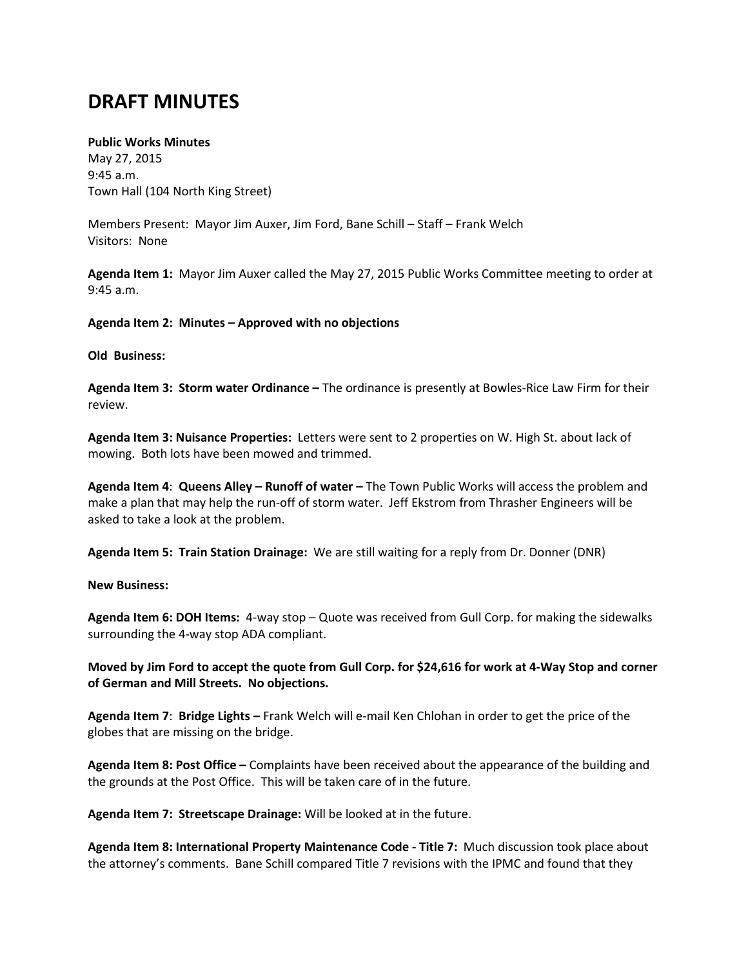## **DRAFT MINUTES**

## **Public Works Minutes**

May 27, 2015 9:45 a.m. Town Hall (104 North King Street)

Members Present: Mayor Jim Auxer, Jim Ford, Bane Schill – Staff – Frank Welch Visitors: None

**Agenda Item 1:** Mayor Jim Auxer called the May 27, 2015 Public Works Committee meeting to order at 9:45 a.m.

**Agenda Item 2: Minutes – Approved with no objections**

## **Old Business:**

**Agenda Item 3: Storm water Ordinance –** The ordinance is presently at Bowles-Rice Law Firm for their review.

**Agenda Item 3: Nuisance Properties:** Letters were sent to 2 properties on W. High St. about lack of mowing. Both lots have been mowed and trimmed.

**Agenda Item 4**: **Queens Alley – Runoff of water –** The Town Public Works will access the problem and make a plan that may help the run-off of storm water. Jeff Ekstrom from Thrasher Engineers will be asked to take a look at the problem.

**Agenda Item 5: Train Station Drainage:** We are still waiting for a reply from Dr. Donner (DNR)

## **New Business:**

**Agenda Item 6: DOH Items:** 4-way stop – Quote was received from Gull Corp. for making the sidewalks surrounding the 4-way stop ADA compliant.

**Moved by Jim Ford to accept the quote from Gull Corp. for \$24,616 for work at 4-Way Stop and corner of German and Mill Streets. No objections.**

**Agenda Item 7**: **Bridge Lights –** Frank Welch will e-mail Ken Chlohan in order to get the price of the globes that are missing on the bridge.

**Agenda Item 8: Post Office –** Complaints have been received about the appearance of the building and the grounds at the Post Office. This will be taken care of in the future.

**Agenda Item 7: Streetscape Drainage:** Will be looked at in the future.

**Agenda Item 8: International Property Maintenance Code - Title 7:** Much discussion took place about the attorney's comments. Bane Schill compared Title 7 revisions with the IPMC and found that they